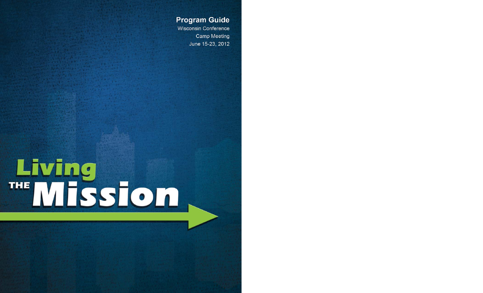**Program Guide** 

**Wisconsin Conference** Camp Meeting June 15-23, 2012

# Living<br>"Mission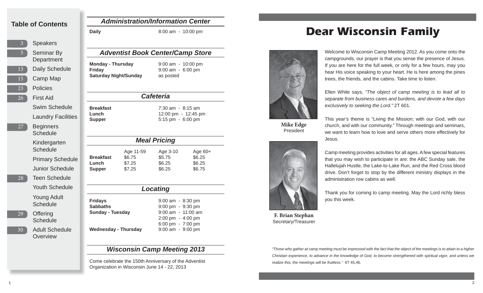### **Table of Contents**

3513152326**Speakers** Camp Map PoliciesFirst Aid27**Beginners** 

- Daily Schedule Seminar By Department Swim ScheduleLaundry Facilities
- **Schedule** Kindergarten **Schedule** Primary Schedule Junior ScheduleTeen ScheduleYouth ScheduleYoung Adult
- 29

28

- 30
	- Adult Schedule **Overview**

**Schedule** 

**Offering Schedule** 

### *Administration/Information Center*

**Daily** 8:00 am - 10:00 pm

### *Adventist Book Center/Camp Store*

**Monday - Thursday** 9:00 am - 10:00 pm **Friday** 9:00 am - 6:00 pm **Saturday Night/Sunday** as posted

### *Cafeteria*

**Breakfast** 7:30 am - 8:15 am**Lunch** 12:00 pm - 12:45 pm **Supper** 5:15 pm - 6:00 pm

| <b>Meal Pricing</b>                        |                                         |                                        |                                         |  |
|--------------------------------------------|-----------------------------------------|----------------------------------------|-----------------------------------------|--|
| <b>Breakfast</b><br>Lunch<br><b>Supper</b> | Age 11-59<br>\$6.75<br>\$7.25<br>\$7.25 | Age 3-10<br>\$5.75<br>\$6.25<br>\$6.25 | Age $60+$<br>\$6.25<br>\$6.25<br>\$6.75 |  |

| Locating                                                     |                                                                 |  |  |
|--------------------------------------------------------------|-----------------------------------------------------------------|--|--|
| <b>Fridays</b><br><b>Sabbaths</b><br><b>Sunday - Tuesday</b> | $9:00$ am $-8:30$ pm<br>9:00 pm - 9:30 pm<br>9:00 am - 11:00 am |  |  |
| Wednesday - Thursday                                         | 2:00 pm - 4:00 pm<br>6:00 pm - 7:00 pm<br>9:00 am - 9:00 pm     |  |  |

# *Wisconsin Camp Meeting 2013*

Come celebrate the 150th Anniversary of the Adventist Organization in Wisconsin June 14 - 22, 2013

# **Dear Wisconsin Family**



**Mike Edge** President



**F. Brian Stephan** Secretary/Treasurer

Welcome to Wisconsin Camp Meeting 2012. As you come onto the campgrounds, our prayer is that you sense the presence of Jesus. If you are here for the full week, or only for a few hours, may you hear His voice speaking to your heart. He is here among the pines trees, the friends, and the cabins. Take time to listen.

Ellen White says, *"The object of camp meeting is to lead all to separate from business cares and burdens, and devote a few days exclusively to seeking the Lord."* 2T 601.

This year's theme is "Living the Mission; with our God, with our church, and with our community." Through meetings and seminars, we want to learn how to love and serve others more effectively for Jesus.

Camp meeting provides activities for all ages. A few special features that you may wish to participate in are: the ABC Sunday sale, the Hallelujah Hustle, the Lake-to-Lake Run, and the Red Cross blood drive. Don't forget to stop by the different ministry displays in the administration row cabins as well.

Thank you for coming to camp meeting. May the Lord richly bless you this week.

*"Those who gather at camp meeting must be impressed with the fact that the object of the meetings is to attain to a higher Christian experience, to advance in the knowledge of God, to become strengthened with spiritual vigor; and unless we realize this, the meetings will be fruitless."* 6T 45,46.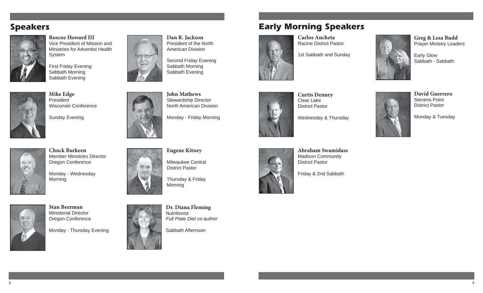# **Speakers**



**Roscoe Howard III**Vice President of Mission and Ministries for Adventist Health System

First Friday Evening Sabbath Morning Sabbath Evening



**Mike Edge** President Wisconsin Conference

Sunday Evening

**Chuck Burkeen**



 Member Ministries Director Oregon Conference

Monday - Wednesday Morning



**Stan Beerman**Ministerial Director Oregon Conference

Monday - Thursday Evening



**Dan R. Jackson** President of the North American Division

Second Friday Evening Sabbath Morning Sabbath Evening



**John Mathews** Stewardship Director North American Division

Monday - Friday Morning





**Curtis Denney** Clear Lake District Pastor

**Early Morning Speakers**

**Carlos Ancheta**Racine District Pastor

1st Sabbath and Sunday

Wednesday & Thursday



**David Guerrero**Stevens Point District Pastor

**Greg & Lesa Budd** Prayer Ministry Leaders

Sabbath - Sabbath

Early Glow

Monday & Tuesday



Milwaukee Central District Pastor

Thursday & Friday Morning

**Dr. Diana Fleming** Nutritionist*Full Plate Diet* co-author





**Abraham Swamidass**Madison Community District Pastor

Friday & 2nd Sabbath



3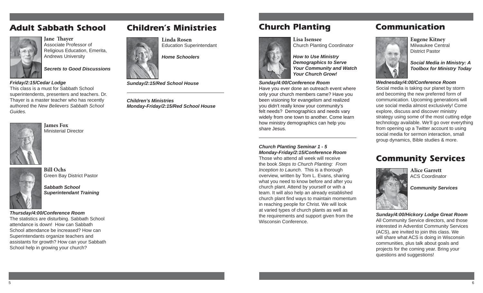# **Adult Sabbath School**



**Jane Thaver** Associate Professor of Religious Education, Emerita, Andrews University

*Secrets to Good Discussions*

*Friday/2:15/Cedar Lodge* 

This class is a must for Sabbath School superintendents, presenters and teachers. Dr. Thayer is a master teacher who has recently authored the *New Believers Sabbath School Guides.*



**Bill Ochs**



Green Bay District Pastor

*Sabbath School Superintendant Training*

*Thursday/4:00/Conference Room*  The statistics are disturbing. Sabbath School attendance is down! How can Sabbath School attendance be increased? How can Superintendants organize teachers and assistants for growth? How can your Sabbath School help in growing your church?

# **Children's Ministries**



*Sunday/2:15/Red School House*

*Children's Ministries Monday-Friday/2:15/Red School House*

# **Church Planting**



**Lisa Isensee**Church Planting Coordinator

*How to Use Ministry Demographics to Serve Your Community and Watch Your Church Grow!*

### *Sunday/4:00/Conference Room*

Have you ever done an outreach event where only your church members came? Have you been visioning for evangelism and realized you didn't really know your community's felt needs? Demographics and needs vary widely from one town to another. Come learn how ministry demographics can help you share Jesus.

*Church Planting Seminar 1 - 5 Monday-Friday/2:15/Conference Room*  Those who attend all week will receive the book *Steps to Church Planting: From Inception to Launch*. This is a thorough overview, written by Tom L. Evans, sharing what you need to know before and after you church plant. Attend by yourself or with a team. It will also help an already established church plant find ways to maintain momentum in reaching people for Christ. We will look at varied types of church plants as well as the requirements and support given from the Wisconsin Conference.

# **Communication**



**Eugene Kitney** Milwaukee Central District Pastor

*Social Media in Ministry: A Toolbox for Ministry Today*

### *Wednesday/4:00/Conference Room*

Social media is taking our planet by storm and becoming the new preferred form of communication. Upcoming generations will use social media almost exclusively! Come explore, discuss and discover ministry strategy using some of the most cutting edge technology available. We'll go over everything from opening up a Twitter account to using social media for sermon interaction, small group dynamics, Bible studies & more.

# **Community Services**



**Alice Garrett**ACS Coordinator

*Community Services*

*Sunday/4:00/Hickory Lodge Great Room* All Community Service directors, and those interested in Adventist Community Services (ACS), are invited to join this class. We will share what ACS is doing in Wisconsin communities, plus talk about goals and projects for the coming year. Bring your questions and suggestions!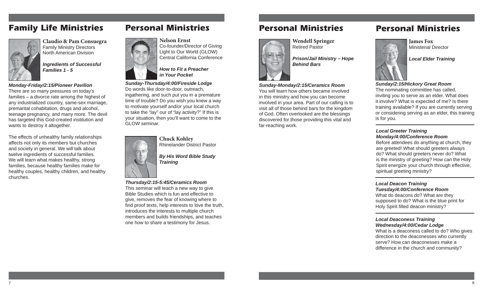# **Family Life Ministries**



**Claudio & Pam Consuegra** Family Ministry Directors North American Division

*Ingredients of Successful Families 1 - 5*

### *Monday-Friday/2:15/Pioneer Pavilion*

There are so many pressures on today's families – a divorce rate among the highest of any industrialized country, same-sex marriage, premarital cohabitation, drugs and alcohol, teenage pregnancy, and many more. The devil has targeted this God-created institution and wants to destroy it altogether.

The effects of unhealthy family relationships affects not only its members but churches and society in general. We will talk about twelve ingredients of successful families. We will learn what makes healthy, strong families, because healthy families make for healthy couples, healthy children, and healthy churches.

**Personal Ministries**



**Nelson Ernst**Co-founder/Director of Giving Light to Our World (GLOW) Central California Conference

*How to Fit a Preacher in Your Pocket*

*Sunday-Thursday/4:00/Fireside Lodge* Do words like door-to-door, outreach, ingathering, and such put you in a premature time of trouble? Do you wish you knew a way to motivate yourself and/or your local church to take the "lay" our of "lay activity?" If this is your situation, then you'll want to come to the GLOW seminar.



**Chuck Kohley** Rhinelander District Pastor

*By His Word Bible Study Training*

*Thursday/2:15-5:45/Ceramics Room*  This seminar will teach a new way to give Bible Studies which is fun and effective to give, removes the fear of knowing where to find proof texts, help interests to love the truth, introduces the interests to multiple church members and builds friendships, and teaches

one how to share a testimony for Jesus.

# **Personal Ministries**



**Wendell Springer** Retired Pastor

*Prison/Jail Ministry – Hope Behind Bars*

## *Sunday-Monday/2:15/Ceramics Room* You will learn how others became involved

in this ministry and how you can become involved in your area. Part of our calling is to visit all of those behind bars for the kingdom of God. Often overlooked are the blessings discovered for those providing this vital and far-reaching work.

# **Personal Ministries**



**James Fox** Ministerial Director

*Local Elder Training*

*Sunday/2:15/Hickory Great Room* The nominating committee has called, inviting you to serve as an elder. What does it involve? What is expected of me? Is there training available? If you are currently serving or considering serving as an elder, this training is for you.

### *Local Greeter Training Monday/4:00/Conference Room*

Before attendees do anything at church, they are greeted! What should greeters always do? What should greeters never do? What is the ministry of greeting? How can the Holy Spirit energize your church through effective, spiritual greeting ministry?

### *Local Deacon Training*

*Tuesday/4:00/Conference Room* What do deacons do? What are they supposed to do? What is the blue print for Holy Spirit filled deacon ministry?

### *Local Deaconess Training*

*Wednesday/4:00/Cedar Lodge* What is a deaconess called to do? Who gives direction to the deaconesses who currently serve? How can deaconesses make a difference in the church and community?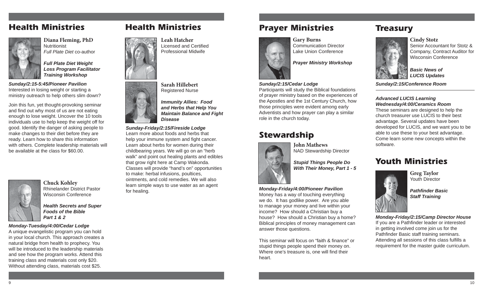# **Health Ministries**



**Diana Fleming, PhD Nutritionist** *Full Plate Diet* co-author

*Full Plate Diet Weight Loss Program Facilitator Training Workshop* 

*Sunday/2:15-5:45/Pioneer Pavilion*  Interested in losing weight or starting a ministry outreach to help others slim down?

Join this fun, yet thought-provoking seminar and find out why most of us are not eating enough to lose weight. Uncover the 10 tools individuals use to help keep the weight off for good. Identify the danger of asking people to make changes to their diet before they are ready. Learn how to share this information with others. Complete leadership materials will be available at the class for \$60.00.



**Chuck Kohley** Rhinelander District PastorWisconsin Conference

*Health Secrets and Super Foods of the Bible Part 1 & 2*

### *Monday-Tuesday/4:00/Cedar Lodge*

A unique evangelistic program you can hold in your local church. This approach creates a natural bridge from health to prophecy. You will be introduced to the leadership materials and see how the program works. Attend this training class and materials cost only \$20. Without attending class, materials cost \$25.

# **Health Ministries**



**Leah Hatcher**Licensed and Certified Professional Midwife



*Immunity Allies: Food and Herbs that Help You Maintain Balance and Fight Disease*

*Sunday-Friday/2:15/Fireside Lodge* Learn more about foods and herbs that help your immune system and fight cancer. Learn about herbs for women during their childbearing years. We will go on an "herb walk" and point out healing plants and edibles that grow right here at Camp Wakonda. Classes will provide "hand's on" opportunities to make: herbal infusions, poultices, ointments, and cold remedies. We will also learn simple ways to use water as an agent for healing.

# **Prayer Ministries**



**Gary Burns** Communication DirectorLake Union Conference

*Prayer Ministry Workshop*

### *Sunday/2:15/Cedar Lodge*

Participants will study the Biblical foundations of prayer ministry based on the experiences of the Apostles and the 1st Century Church, how those principles were evident among early Adventists and how prayer can play a similar role in the church today.

**John Mathews**

# **Stewardship**



NAD Stewardship Director

*Stupid Things People Do With Their Money, Part 1 - 5* 

*Monday-Friday/4:00/Pioneer Pavilion* Money has a way of touching everything we do. It has godlike power. Are you able to manage your money and live within your income? How should a Christian buy a house? How should a Christian buy a home? Biblical principles of money management can answer those questions.

This seminar will focus on "faith & finance" or stupid things people spend their money on. Where one's treasure is, one will find their heart.

# **Treasury**



**Cindy Stotz** Senior Accountant for Stotz & Company, Contract Auditor for Wisconsin Conference

*Basic News of LUCIS Updates* 

*Sunday/2:15/Conference Room* 

### *Advanced LUCIS Learning Wednesday/4:00/Ceramics Room*

These seminars are designed to help the church treasurer use LUCIS to their best advantage. Several updates have been developed for LUCIS, and we want you to be able to use these to your best advantage. Come learn some new concepts within the software.

# **Youth Ministries**



**Greg Taylor** Youth Director

*Pathfi nder Basic Staff Training*

*Monday-Friday/2:15/Camp Director House* If you are a Pathfinder leader or interested in getting involved come join us for the Pathfinder Basic staff training seminars. Attending all sessions of this class fulfills a requirement for the master guide curriculum.

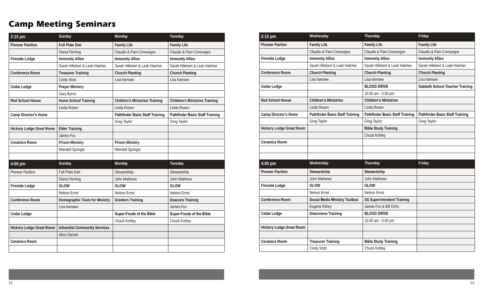# **Camp Meeting Seminars**

| 2:15 pm                         | Sunday                              | Monday                                 | Tuesday                                |
|---------------------------------|-------------------------------------|----------------------------------------|----------------------------------------|
| <b>Pioneer Pavilion</b>         | <b>Full Plate Diet</b>              | <b>Family Life</b>                     | <b>Family Life</b>                     |
|                                 | Diana Fleming                       | Claudio & Pam Consuegra                | Claudio & Pam Consuegra                |
| <b>Fireside Lodge</b>           | <b>Immunity Allies</b>              | <b>Immunity Allies</b>                 | <b>Immunity Allies</b>                 |
|                                 | Sarah Hillebert & Leah Hatcher      | Sarah Hillebert & Leah Hatcher         | Sarah Hillebert & Leah Hatcher         |
| Conference Room                 | <b>Treasurer Training</b>           | <b>Church Planting</b>                 | <b>Church Planting</b>                 |
|                                 | Cindy Stotz                         | Lisa Isensee                           | Lisa Isensee                           |
| Cedar Lodge                     | <b>Prayer Ministry</b>              |                                        |                                        |
|                                 | Gary Burns                          |                                        |                                        |
| <b>Red School House</b>         | Home School Training                | <b>Children's Ministries Training</b>  | <b>Children's Ministries Training</b>  |
|                                 | Linda Rosen                         | Linda Rosen                            | Linda Rosen                            |
| Camp Director's Home            |                                     | <b>Pathfinder Basic Staff Training</b> | <b>Pathfinder Basic Staff Training</b> |
|                                 |                                     | Greg Taylor                            | Greg Taylor                            |
| <b>Hickory Lodge Great Room</b> | <b>Elder Training</b>               |                                        |                                        |
|                                 | James Fox                           |                                        |                                        |
| <b>Ceramics Room</b>            | <b>Prison Ministry</b>              | <b>Prison Ministry</b>                 |                                        |
|                                 | Wendell Springer                    | Wendell Springer                       |                                        |
|                                 |                                     |                                        |                                        |
| 4:00 pm                         | Sunday                              | Monday                                 | Tuesday                                |
| <b>Pioneer Pavilion</b>         | <b>Full Plate Diet</b>              | Stewardship                            | Stewardship                            |
|                                 | Diana Fleming                       | John Mathews                           | John Mathews                           |
| <b>Fireside Lodge</b>           | <b>GLOW</b>                         | <b>GLOW</b>                            | <b>GLOW</b>                            |
|                                 | <b>Nelson Ernst</b>                 | <b>Nelson Ernst</b>                    | <b>Nelson Ernst</b>                    |
| <b>Conference Room</b>          | Demographic Tools for Ministry      | <b>Greeters Training</b>               | <b>Deacons Training</b>                |
|                                 | Lisa Isensee                        |                                        | James Fox                              |
| Cedar Lodge                     |                                     | Super-Foods of the Bible               | Super-Foods of the Bible               |
|                                 |                                     | Chuck Kohley                           | Chuck Kohley                           |
| <b>Hickory Lodge Great Room</b> | <b>Adventist Community Services</b> |                                        |                                        |
|                                 | <b>Alice Garrett</b>                |                                        |                                        |
| <b>Ceramics Room</b>            |                                     |                                        |                                        |
|                                 |                                     |                                        |                                        |

| 2:15 pm                         | Wednesday                              | Thursday                               | Friday                                 |
|---------------------------------|----------------------------------------|----------------------------------------|----------------------------------------|
| <b>Pioneer Pavlion</b>          | <b>Family Life</b>                     | <b>Family Life</b>                     | <b>Family Life</b>                     |
|                                 | Claudio & Pam Consuegra                | Claudio & Pam Consuegra                | Claudio & Pam Consuegra                |
| <b>Fireside Lodge</b>           | <b>Immunity Allies</b>                 | <b>Immunity Allies</b>                 | <b>Immunity Allies</b>                 |
|                                 | Sarah Hillebert & Leah Hatcher         | Sarah Hillebert & Leah Hatcher         | Sarah Hillebert & Leah Hatcher         |
| Conference Room                 | <b>Church Planting</b>                 | <b>Church Planting</b>                 | <b>Church Planting</b>                 |
|                                 | Lisa Isensee                           | Lisa Isensee                           | Lisa Isensee                           |
| Cedar Lodge                     |                                        | <b>BLOOD DRIVE</b>                     | <b>Sabbath School Teacher Training</b> |
|                                 |                                        | 10:00 am - 5:00 pm                     |                                        |
| <b>Red School House</b>         | <b>Children's Ministries</b>           | <b>Children's Ministries</b>           |                                        |
|                                 | Linda Rosen                            | Linda Rosen                            |                                        |
| Camp Director's Home            | <b>Pathfinder Basic Staff Training</b> | <b>Pathfinder Basic Staff Training</b> | <b>Pathfinder Basic Staff Training</b> |
|                                 | Greg Taylor                            | Greg Taylor                            | Greg Taylor                            |
| <b>Hickory Lodge Great Room</b> |                                        | <b>Bible Study Training</b>            |                                        |
|                                 |                                        | Chuck Kohley                           |                                        |
| <b>Ceramics Room</b>            |                                        |                                        |                                        |
|                                 |                                        |                                        |                                        |
|                                 |                                        |                                        |                                        |
| 4:00 pm                         | Wednesday                              | Thursday                               | Friday                                 |
| <b>Pioneer Pavilion</b>         | Stewardship                            | Stewardship                            |                                        |
|                                 | John Mathews                           | John Mathews                           |                                        |
| <b>Fireside Lodge</b>           | <b>GLOW</b>                            | <b>GLOW</b>                            |                                        |
|                                 | Nelson Ernst                           | Nelson Ernst                           |                                        |
| Conference Room                 | <b>Social Media Ministry Toolbox</b>   | <b>SS Superintendent Training</b>      |                                        |
|                                 | Eugene Kitney                          | James Fox & Bill Ochs                  |                                        |
| Cedar Lodge                     | <b>Deaconess Training</b>              | <b>BLOOD DRIVE</b>                     |                                        |
|                                 |                                        | 10:00 am - 5:00 pm                     |                                        |
| <b>Hickory Lodge Great Room</b> |                                        |                                        |                                        |
|                                 |                                        |                                        |                                        |
| <b>Ceramics Room</b>            | <b>Treasurer Training</b>              | <b>Bible Study Training</b>            |                                        |
|                                 | Cindy Stotz                            | Chuck Kohley                           |                                        |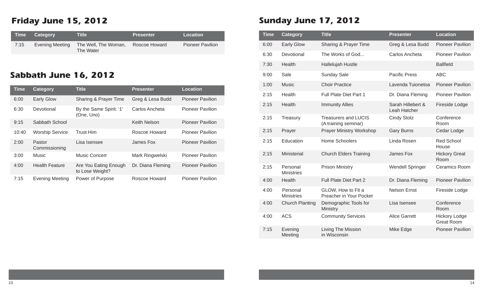# **Friday June 15, 2012**

| $\blacksquare$ Time $\blacksquare$ | <b>Category</b> | Title !                           | <b>Presenter</b> | <b>Location</b>         |
|------------------------------------|-----------------|-----------------------------------|------------------|-------------------------|
| 7:15                               | Evening Meeting | The Well, The Woman,<br>The Water | Roscoe Howard    | <b>Pioneer Pavilion</b> |

# **Sabbath June 16, 2012**

| <b>Time</b> | <b>Category</b>         | <b>Title</b>                             | <b>Presenter</b>    | <b>Location</b>         |
|-------------|-------------------------|------------------------------------------|---------------------|-------------------------|
| 6:00        | <b>Early Glow</b>       | Sharing & Prayer Time                    | Greg & Lesa Budd    | <b>Pioneer Pavilion</b> |
| 6:30        | Devotional              | By the Same Spirit: '1'<br>(One, Uno)    | Carlos Ancheta      | <b>Pioneer Pavilion</b> |
| 9:15        | Sabbath School          |                                          | <b>Keith Nelson</b> | <b>Pioneer Pavilion</b> |
| 10:40       | <b>Worship Service</b>  | <b>Trust Him</b>                         | Roscoe Howard       | <b>Pioneer Pavilion</b> |
| 2:00        | Pastor<br>Commissioning | Lisa Isensee                             | James Fox           | <b>Pioneer Pavilion</b> |
| 3:00        | Music                   | <b>Music Concert</b>                     | Mark Ringwelski     | <b>Pioneer Pavilion</b> |
| 4:00        | <b>Health Feature</b>   | Are You Eating Enough<br>to Lose Weight? | Dr. Diana Fleming   | <b>Pioneer Pavilion</b> |
| 7:15        | <b>Evening Meeting</b>  | Power of Purpose                         | Roscoe Howard       | <b>Pioneer Pavilion</b> |

# **Sunday June 17, 2012**

| <b>Time</b> | <b>Category</b>               | <b>Title</b>                                        | <b>Presenter</b>                  | <b>Location</b>                           |
|-------------|-------------------------------|-----------------------------------------------------|-----------------------------------|-------------------------------------------|
| 6:00        | <b>Early Glow</b>             | Sharing & Prayer Time                               | Greg & Lesa Budd                  | <b>Pioneer Pavilion</b>                   |
| 6:30        | Devotional                    | The Works of God                                    | Carlos Ancheta                    | <b>Pioneer Pavilion</b>                   |
| 7:30        | Health                        | Hallelujah Hustle                                   |                                   | <b>Ballfield</b>                          |
| 9:00        | Sale                          | <b>Sunday Sale</b>                                  | <b>Pacific Press</b>              | <b>ABC</b>                                |
| 1:00        | <b>Music</b>                  | <b>Choir Practice</b>                               | Lavenda Tuionetoa                 | <b>Pioneer Pavilion</b>                   |
| 2:15        | Health                        | <b>Full Plate Diet Part 1</b>                       | Dr. Diana Fleming                 | <b>Pioneer Pavilion</b>                   |
| 2:15        | Health                        | <b>Immunity Allies</b>                              | Sarah Hillebert &<br>Leah Hatcher | Fireside Lodge                            |
| 2:15        | Treasury                      | <b>Treasurers and LUCIS</b><br>(A training seminar) | <b>Cindy Stotz</b>                | Conference<br>Room                        |
| 2:15        | Prayer                        | <b>Prayer Ministry Workshop</b>                     | <b>Gary Burns</b>                 | Cedar Lodge                               |
| 2:15        | Education                     | Home Schoolers                                      | Linda Rosen                       | <b>Red School</b><br>House                |
| 2:15        | Ministerial                   | <b>Church Elders Training</b>                       | James Fox                         | <b>Hickory Great</b><br>Room              |
| 2:15        | Personal<br><b>Ministries</b> | <b>Prison Ministry</b>                              | <b>Wendell Springer</b>           | <b>Ceramics Room</b>                      |
| 4:00        | Health                        | Full Plate Diet Part 2                              | Dr. Diana Fleming                 | <b>Pioneer Pavilion</b>                   |
| 4:00        | Personal<br><b>Ministries</b> | GLOW, How to Fit a<br>Preacher in Your Pocket       | <b>Nelson Ernst</b>               | Fireside Lodge                            |
| 4:00        | <b>Church Planting</b>        | Demographic Tools for<br>Ministry                   | Lisa Isensee                      | Conference<br>Room                        |
| 4:00        | <b>ACS</b>                    | <b>Community Services</b>                           | <b>Alice Garrett</b>              | <b>Hickory Lodge</b><br><b>Great Room</b> |
| 7:15        | Evening<br>Meeting            | Living The Mission<br>in Wisconsin                  | Mike Edge                         | <b>Pioneer Pavilion</b>                   |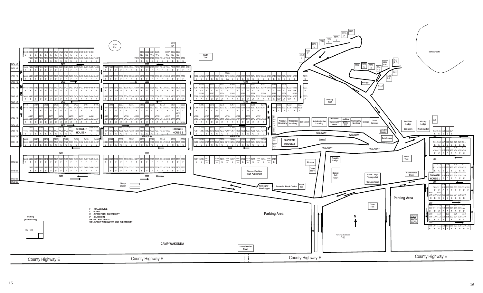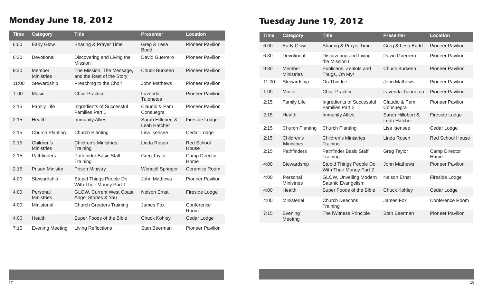# **Monday June 18, 2012**

| <b>Time</b> | <b>Category</b>                 | <b>Title</b>                                           | <b>Presenter</b>                  | <b>Location</b>            |
|-------------|---------------------------------|--------------------------------------------------------|-----------------------------------|----------------------------|
| 6:00        | <b>Early Glow</b>               | Sharing & Prayer Time                                  | Greg & Lesa<br><b>Budd</b>        | <b>Pioneer Pavilion</b>    |
| 6:30        | Devotional                      | Discovering and Living the<br>Mission I                | David Guerrero                    | <b>Pioneer Pavilion</b>    |
| 9:30        | Member<br><b>Ministries</b>     | The Mission, The Message,<br>and the Rest of the Story | <b>Chuck Burkeen</b>              | <b>Pioneer Pavilion</b>    |
| 11:00       | Stewardship                     | Preaching to the Choir                                 | <b>John Mathews</b>               | <b>Pioneer Pavilion</b>    |
| 1:00        | <b>Music</b>                    | <b>Choir Practice</b>                                  | Lavenda<br>Tuionetoa              | <b>Pioneer Pavilion</b>    |
| 2:15        | <b>Family Life</b>              | Ingredients of Successful<br><b>Families Part 1</b>    | Claudio & Pam<br>Consuegra        | <b>Pioneer Pavilion</b>    |
| 2:15        | Health                          | <b>Immunity Allies</b>                                 | Sarah Hillebert &<br>Leah Hatcher | Fireside Lodge             |
| 2:15        | <b>Church Planting</b>          | <b>Church Planting</b>                                 | Lisa Isensee                      | Cedar Lodge                |
| 2:15        | Children's<br><b>Ministries</b> | <b>Children's Ministries</b><br>Training               | Linda Rosen                       | <b>Red School</b><br>House |
| 2:15        | Pathfinders                     | Pathfinder Basic Staff<br>Training                     | Greg Taylor                       | Camp Director<br>Home      |
| 2:15        | <b>Prison Ministry</b>          | <b>Prison Ministry</b>                                 | <b>Wendell Springer</b>           | <b>Ceramics Room</b>       |
| 4:00        | Stewardship                     | Stupid Things People Do<br>With Their Money Part 1     | John Mathews                      | <b>Pioneer Pavilion</b>    |
| 4:00        | Personal<br><b>Ministries</b>   | <b>GLOW, Current West Coast</b><br>Angel Stories & You | <b>Nelson Ernst</b>               | Fireside Lodge             |
| 4:00        | Ministerial                     | <b>Church Greeters Training</b>                        | James Fox                         | Conference<br>Room         |
| 4:00        | Health                          | Super Foods of the Bible                               | <b>Chuck Kohley</b>               | Cedar Lodge                |
| 7:15        | <b>Evening Meeting</b>          | Living Reflections                                     | Stan Beerman                      | <b>Pioneer Pavilion</b>    |

# **Tuesday June 19, 2012**

| <b>Time</b> | <b>Category</b>                 | <b>Title</b>                                        | <b>Presenter</b>                  | <b>Location</b>         |
|-------------|---------------------------------|-----------------------------------------------------|-----------------------------------|-------------------------|
| 6:00        | <b>Early Glow</b>               | Sharing & Prayer Time                               | Greg & Lesa Budd                  | <b>Pioneer Pavilion</b> |
| 6:30        | Devotional                      | Discovering and Living<br>the Mission II            | David Guerrero                    | <b>Pioneer Pavilion</b> |
| 9:30        | Member<br><b>Ministries</b>     | Publicans, Zealots and<br>Thugs, Oh My!             | <b>Chuck Burkeen</b>              | <b>Pioneer Pavilion</b> |
| 11:00       | Stewardship                     | On Thin Ice                                         | John Mathews                      | <b>Pioneer Pavilion</b> |
| 1:00        | <b>Music</b>                    | <b>Choir Practice</b>                               | Lavenda Tuionetoa                 | <b>Pioneer Pavilion</b> |
| 2:15        | <b>Family Life</b>              | Ingredients of Successful<br><b>Families Part 2</b> | Claudio & Pam<br>Consuegra        | <b>Pioneer Pavilion</b> |
| 2:15        | Health                          | <b>Immunity Allies</b>                              | Sarah Hillebert &<br>Leah Hatcher | Fireside Lodge          |
| 2:15        | Church Planting                 | <b>Church Planting</b>                              | Lisa Isensee                      | Cedar Lodge             |
| 2:15        | Children's<br><b>Ministries</b> | <b>Children's Ministries</b><br>Training            | Linda Rosen                       | <b>Red School House</b> |
| 2:15        | <b>Pathfinders</b>              | <b>Pathfinder Basic Staff</b><br>Training           | Greg Taylor                       | Camp Director<br>Home   |
| 4:00        | Stewardship                     | Stupid Things People Do<br>With Their Money Part 2  | <b>John Mathews</b>               | <b>Pioneer Pavilion</b> |
| 4:00        | Personal<br><b>Ministries</b>   | GLOW, Unveiling Modern<br>Satanic Evangelism        | <b>Nelson Ernst</b>               | Fireside Lodge          |
| 4:00        | Health                          | Super Foods of the Bible                            | <b>Chuck Kohley</b>               | Cedar Lodge             |
| 4:00        | Ministerial                     | <b>Church Deacons</b><br>Training                   | James Fox                         | Conference Room         |
| 7:15        | Evening<br>Meeting              | The iWitness Principle                              | <b>Stan Beerman</b>               | <b>Pioneer Pavilion</b> |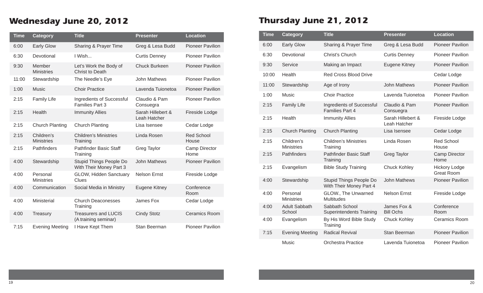# **Wednesday June 20, 2012**

| <b>Time</b> | <b>Category</b>                 | <b>Title</b>                                        | <b>Presenter</b>                  | <b>Location</b>              |
|-------------|---------------------------------|-----------------------------------------------------|-----------------------------------|------------------------------|
| 6:00        | <b>Early Glow</b>               | Sharing & Prayer Time                               | Greg & Lesa Budd                  | <b>Pioneer Pavilion</b>      |
| 6:30        | Devotional                      | I Wish                                              | <b>Curtis Denney</b>              | <b>Pioneer Pavilion</b>      |
| 9:30        | Member<br><b>Ministries</b>     | Let's Work the Body of<br>Christ to Death           | <b>Chuck Burkeen</b>              | <b>Pioneer Pavilion</b>      |
| 11:00       | Stewardship                     | The Needle's Eye                                    | <b>John Mathews</b>               | <b>Pioneer Pavilion</b>      |
| 1:00        | <b>Music</b>                    | <b>Choir Practice</b>                               | Lavenda Tuionetoa                 | <b>Pioneer Pavilion</b>      |
| 2:15        | <b>Family Life</b>              | Ingredients of Successful<br><b>Families Part 3</b> | Claudio & Pam<br>Consuegra        | <b>Pioneer Pavilion</b>      |
| 2:15        | Health                          | <b>Immunity Allies</b>                              | Sarah Hillebert &<br>Leah Hatcher | Fireside Lodge               |
| 2:15        | <b>Church Planting</b>          | <b>Church Planting</b>                              | Lisa Isensee                      | Cedar Lodge                  |
| 2:15        | Children's<br><b>Ministries</b> | <b>Children's Ministries</b><br>Training            | Linda Rosen                       | <b>Red School</b><br>House   |
| 2:15        | Pathfinders                     | <b>Pathfinder Basic Staff</b><br>Training           | <b>Greg Taylor</b>                | <b>Camp Director</b><br>Home |
| 4:00        | Stewardship                     | Stupid Things People Do<br>With Their Money Part 3  | <b>John Mathews</b>               | <b>Pioneer Pavilion</b>      |
| 4:00        | Personal<br><b>Ministries</b>   | <b>GLOW, Hidden Sanctuary</b><br>Clues              | <b>Nelson Ernst</b>               | Fireside Lodge               |
| 4:00        | Communication                   | Social Media in Ministry                            | Eugene Kitney                     | Conference<br>Room           |
| 4:00        | Ministerial                     | <b>Church Deaconesses</b><br>Training               | James Fox                         | Cedar Lodge                  |
| 4:00        | Treasury                        | <b>Treasurers and LUCIS</b><br>(A training seminar) | <b>Cindy Stotz</b>                | <b>Ceramics Room</b>         |
| 7:15        | <b>Evening Meeting</b>          | I Have Kept Them                                    | Stan Beerman                      | <b>Pioneer Pavilion</b>      |

# **Thursday June 21, 2012**

| <b>Time</b> | <b>Category</b>                 | <b>Title</b>                                        | <b>Presenter</b>                  | <b>Location</b>                           |
|-------------|---------------------------------|-----------------------------------------------------|-----------------------------------|-------------------------------------------|
| 6:00        | <b>Early Glow</b>               | Sharing & Prayer Time                               | Greg & Lesa Budd                  | <b>Pioneer Pavilion</b>                   |
| 6:30        | Devotional                      | Christ's Church                                     | <b>Curtis Denney</b>              | <b>Pioneer Pavilion</b>                   |
| 9:30        | Service                         | Making an Impact                                    | Eugene Kitney                     | <b>Pioneer Pavilion</b>                   |
| 10:00       | Health                          | <b>Red Cross Blood Drive</b>                        |                                   | Cedar Lodge                               |
| 11:00       | Stewardship                     | Age of Irony                                        | <b>John Mathews</b>               | <b>Pioneer Pavilion</b>                   |
| 1:00        | <b>Music</b>                    | <b>Choir Practice</b>                               | Lavenda Tuionetoa                 | <b>Pioneer Pavilion</b>                   |
| 2:15        | <b>Family Life</b>              | Ingredients of Successful<br><b>Families Part 4</b> | Claudio & Pam<br>Consuegra        | <b>Pioneer Pavilion</b>                   |
| 2:15        | Health                          | <b>Immunity Allies</b>                              | Sarah Hillebert &<br>Leah Hatcher | Fireside Lodge                            |
| 2:15        | <b>Church Planting</b>          | <b>Church Planting</b>                              | Lisa Isensee                      | Cedar Lodge                               |
| 2:15        | Children's<br><b>Ministries</b> | <b>Children's Ministries</b><br>Training            | Linda Rosen                       | <b>Red School</b><br>House                |
| 2:15        | Pathfinders                     | <b>Pathfinder Basic Staff</b><br>Training           | Greg Taylor                       | <b>Camp Director</b><br>Home              |
| 2:15        | Evangelism                      | <b>Bible Study Training</b>                         | <b>Chuck Kohley</b>               | <b>Hickory Lodge</b><br><b>Great Room</b> |
| 4:00        | Stewardship                     | Stupid Things People Do<br>With Their Money Part 4  | <b>John Mathews</b>               | <b>Pioneer Pavilion</b>                   |
| 4:00        | Personal<br><b>Ministries</b>   | GLOW., The Unwarned<br><b>Multitudes</b>            | <b>Nelson Ernst</b>               | Fireside Lodge                            |
| 4:00        | <b>Adult Sabbath</b><br>School  | Sabbath School<br><b>Superintendents Training</b>   | James Fox &<br><b>Bill Ochs</b>   | Conference<br>Room                        |
| 4:00        | Evangelism                      | By His Word Bible Study<br>Training                 | <b>Chuck Kohley</b>               | <b>Ceramics Room</b>                      |
| 7:15        | <b>Evening Meeting</b>          | <b>Radical Revival</b>                              | Stan Beerman                      | <b>Pioneer Pavilion</b>                   |
|             | Music                           | <b>Orchestra Practice</b>                           | Lavenda Tuionetoa                 | <b>Pioneer Pavilion</b>                   |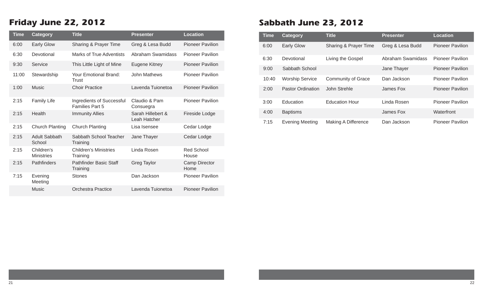# **Friday June 22, 2012**

| <b>Time</b> | <b>Category</b>                 | <b>Title</b>                                 | <b>Presenter</b>                  | <b>Location</b>            |
|-------------|---------------------------------|----------------------------------------------|-----------------------------------|----------------------------|
| 6:00        | <b>Early Glow</b>               | Sharing & Prayer Time                        | Greg & Lesa Budd                  | <b>Pioneer Pavilion</b>    |
| 6:30        | Devotional                      | Marks of True Adventists                     | Abraham Swamidass                 | <b>Pioneer Pavilion</b>    |
| 9:30        | Service                         | This Little Light of Mine                    | Eugene Kitney                     | <b>Pioneer Pavilion</b>    |
| 11:00       | Stewardship                     | Your Emotional Brand:<br>Trust               | John Mathews                      | <b>Pioneer Pavilion</b>    |
| 1:00        | <b>Music</b>                    | <b>Choir Practice</b>                        | Lavenda Tuionetoa                 | <b>Pioneer Pavilion</b>    |
| 2:15        | <b>Family Life</b>              | Ingredients of Successful<br>Families Part 5 | Claudio & Pam<br>Consuegra        | <b>Pioneer Pavilion</b>    |
| 2:15        | Health                          | <b>Immunity Allies</b>                       | Sarah Hillebert &<br>Leah Hatcher | Fireside Lodge             |
| 2:15        | <b>Church Planting</b>          | <b>Church Planting</b>                       | Lisa Isensee                      | Cedar Lodge                |
| 2:15        | <b>Adult Sabbath</b><br>School  | Sabbath School Teacher<br>Training           | Jane Thayer                       | Cedar Lodge                |
| 2:15        | Children's<br><b>Ministries</b> | <b>Children's Ministries</b><br>Training     | Linda Rosen                       | <b>Red School</b><br>House |
| 2:15        | <b>Pathfinders</b>              | <b>Pathfinder Basic Staff</b><br>Training    | Greg Taylor                       | Camp Director<br>Home      |
| 7:15        | Evening<br>Meeting              | <b>Stones</b>                                | Dan Jackson                       | <b>Pioneer Pavilion</b>    |
|             | <b>Music</b>                    | Orchestra Practice                           | Lavenda Tuionetoa                 | <b>Pioneer Pavilion</b>    |

# **Sabbath June 23, 2012**

| <b>Time</b> | <b>Category</b>        | <b>Title</b>          | <b>Presenter</b>  | Location                |  |  |
|-------------|------------------------|-----------------------|-------------------|-------------------------|--|--|
| 6:00        | <b>Early Glow</b>      | Sharing & Prayer Time | Greg & Lesa Budd  | <b>Pioneer Pavilion</b> |  |  |
| 6:30        | Devotional             | Living the Gospel     | Abraham Swamidass | <b>Pioneer Pavilion</b> |  |  |
| 9:00        | Sabbath School         |                       | Jane Thayer       | <b>Pioneer Pavilion</b> |  |  |
| 10:40       | <b>Worship Service</b> | Community of Grace    | Dan Jackson       | <b>Pioneer Pavilion</b> |  |  |
| 2:00        | Pastor Ordination      | John Strehle          | James Fox         | <b>Pioneer Pavilion</b> |  |  |
| 3:00        | Education              | <b>Education Hour</b> | Linda Rosen       | <b>Pioneer Pavilion</b> |  |  |
| 4:00        | <b>Baptisms</b>        |                       | James Fox         | Waterfront              |  |  |
| 7:15        | <b>Evening Meeting</b> | Making A Difference   | Dan Jackson       | <b>Pioneer Pavilion</b> |  |  |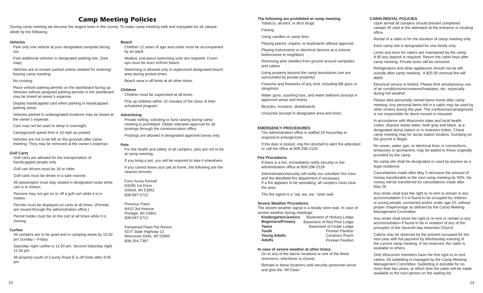# **Camp Meeting Policies**

During camp meeting we become the largest town in the county. To make camp meeting safe and enjoyable for all, please abide by the following:

### **Vehicles**

Park only one vehicle at your designated campsite facing out.

Park additional vehicles in designated parking lots. (See map)

Vehicles are to remain parked unless needed for entering/ leaving camp meeting.

### No cruising.

Place vehicle parking permits on the dashboard facing up. Vehicles without assigned parking permits in the dashboard may be towed at owner's expense.

Display handicapped card when parking in handicapped parking areas.

Vehicles parked in undesignated locations may be towed at the owner's expense.

Cars may not be used to sleep in overnight.

Campground speed limit is 10 mph as posted.

Vehicles are not to be left on the grounds after camp meeting. They may be removed at the owner's expense.

### **Golf Carts**

Golf carts are allowed for the transportation of handicapped people only.

Golf cart drivers must be 18 or older.

Golf carts must be driven in a safe manner.

All passengers must stay seated in designated seats while cart is in motion.

Persons may not get on or off a golf cart while it is in motion.

Permits must be displayed on carts at all times. (Permits are issued through the administration office.)

Permit holder must be on the cart at all times while it is moving.

### **Curfew**

All campers are to be quiet and in camping areas by 10:30 pm Sunday – Friday.

Saturday night curfew is 11:00 pm. Second Saturday night 11:30 pm.

All property south of County Road E is off limits after 9:00 pm.

### **Beach**

Children 12 years of age and under must be accompanied by an adult.

Modest, one-piece swimming suits are required. Coverups must be worn to/from beach.

Swimming is allowed only in supervised designated beach area during posted times.

Beach area is off limits at all other times.

### **Children**

Children must be supervised at all times.

Pick up children within 10 minutes of the close of their scheduled program.

### **Advertising**

Private selling, soliciting or fund raising during camp meeting is prohibited. Obtain stamped approval for all postings through the communication office.

Postings are allowed in designated approved areas only.

### **Pets**

For the health and safety of all campers, pets are not to be at camp meeting.

If you bring a pet, you will be required to take it elsewhere.

If you cannot leave your pet at home, the following are the nearest kennels:

### Furry Acres Kennel

N3265 1st Drive Oxford, WI 53952 608-697-5712

Precious PawsN415 3rd AvenuePortage, WI 53901 608-697-5712

Pampered Paws Pet Resort 4107 State Highway 13 Wisconsin Dells, WI 53965 608-254-7387

### **The following are prohibited at camp meeting:**

Tobacco, alcohol, or illicit drugs

Fishing

Using candles or camp fires

Playing pianos, organs, or keyboards without approval

Playing instruments or electrical devices at a volume bothersome to neighbors

Removing pine needles from ground around campsites and cabins

Using property beyond the camp boundaries (we are surrounded by private property)

Firearms and fireworks of any kind, including BB guns or slingshots

Water guns, squirting toys, and water balloons (except in approved areas and times)

Bicycles, scooters, skateboards

Unicycles (except in designated area and time)

### **EMERGENCY PROCEDURES**

The administration office is staffed 24 hours/day to respond to emergencies.

If the door is locked, ring the doorbell to alert the attendant or call the office at 608-296-2126.

### **Fire Procedures**

If there is a fire, immediately notify security or the administration office at 608-296-2126

Administration/security will notify our volunteer fire crew. and the Westfield fire department if necessary. If a fire appears to be spreading, all campers must clear the area.

The fire signal is a "wa, wa, wa," siren wail.

### **Severe Weather Procedures**

The severe weather signal is a steady siren wail. In case of severe weather during meetings:

| <b>Kindergarten/Juniors</b> | Basement of Hickory Lodge      |  |  |  |  |  |  |
|-----------------------------|--------------------------------|--|--|--|--|--|--|
| <b>Beginners/Primary</b>    | Basement of Red Pine Lodge     |  |  |  |  |  |  |
| <b>Teens</b>                | <b>Basement of Cedar Lodge</b> |  |  |  |  |  |  |
| Youth                       | <b>Pioneer Pavilion</b>        |  |  |  |  |  |  |
| <b>Young Adults</b>         | <b>Ceramics Room</b>           |  |  |  |  |  |  |
| <b>Adults</b>               | <b>Pioneer Pavilion</b>        |  |  |  |  |  |  |

### **In case of severe weather at other times:**

Go to any of the above locations or one of the block restrooms, whichever is closest.

Remain in these locations until security personnel arrive and give the "All Clear."

### **CABIN RENTAL POLICIES**

Upon arrival all campers should present completed camper ID card to the attendant at the entrance or locating office.

Rental of a cabin is for the duration of camp meeting only.

Each camp site is designated for one family only.

Locks and keys for cabins are maintained by the camp. A \$5 key deposit is required. Return the cabin keys after camp meeting. Private locks will be removed.

Refrigerators and other appliances should not be left outside after camp meeting. A \$25.00 removal fee will apply.

Electrical service is limited. Please limit simultaneous use of air conditions/microwaves/hotplates, etc. especially during hot weather.

Please take personally owned items home after camp meeting. Any personal items left in a cabin may be used by other renters during the year. The conference/campground is not responsible for items moved or misused.

In accordance with Wisconsin state and local health codes, dispose waste water, both gray and black, at a designated dump station or in restroom toilets. Check camp meeting map for dump station location. Dumping on the ground is illegal.

No sewer, water, gas, or electrical lines or connections, temporary or permanent, may be added to those originally provided by the camp.

No camp site shall be designated or used by anyone as a legal residence.

Cancellations made after May 5 decrease the amount of money transferable to the next camp meeting by 50%. No money will be transferred for cancellations made after May 26.

Any renter shall lose the right to re-rent or remain in any accommodation if it is found to be occupied by children or young people, unmarried and/or under age 20, without proper chaperonage as defined by the Camp Meeting Management Committee.

Any renter shall loose the right to re-rent or remain in any accommodation if found to be in violation of any of the principles of the Seventh-day Adventist Church.

Cabins may be reserved by the present occupant for the next year with full payment by Wednesday evening of the current camp meeting. If not reserved, the cabin is available to others.

Only Wisconsin members have the first right to re-rent cabins. All subletting is managed by the Camp Meeting Management Committee. Subletting is possible for no more than two years, at which time the cabin will be made available to the next person on the waiting list.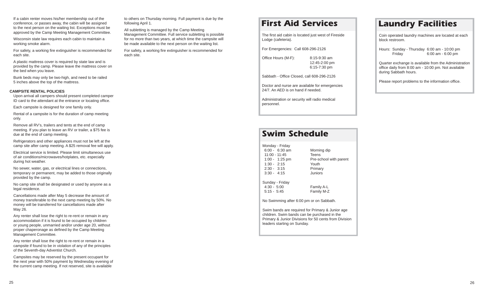If a cabin renter moves his/her membership out of the conference, or passes away, the cabin will be assigned to the next person on the waiting list. Exceptions must be approved by the Camp Meeting Management Committee.

Wisconsin state law requires each cabin to maintain a working smoke alarm.

For safety, a working fire extinguisher is recommended for each site.

A plastic mattress cover is required by state law and is provided by the camp. Please leave the mattress cover on the bed when you leave.

Bunk beds may only be two-high, and need to be railed 5 inches above the top of the mattress.

### **CAMPSITE RENTAL POLICIES**

Upon arrival all campers should present completed camper ID card to the attendant at the entrance or locating office.

Each campsite is designed for one family only.

Rental of a campsite is for the duration of camp meeting only.

Remove all RV's, trailers and tents at the end of camp meeting. If you plan to leave an RV or trailer, a \$75 fee is due at the end of camp meeting.

Refrigerators and other appliances must not be left at the camp site after camp meeting. A \$25 removal fee will apply.

Electrical service is limited. Please limit simultaneous use of air conditions/microwaves/hotplates, etc. especially during hot weather.

No sewer, water, gas, or electrical lines or connections, temporary or permanent, may be added to those originally provided by the camp.

No camp site shall be designated or used by anyone as a legal residence.

Cancellations made after May 5 decrease the amount of money transferable to the next camp meeting by 50%. No money will be transferred for cancellations made after May 26.

Any renter shall lose the right to re-rent or remain in any accommodation if it is found to be occupied by children or young people, unmarried and/or under age 20, without proper chaperonage as defined by the Camp Meeting Management Committee.

Any renter shall lose the right to re-rent or remain in a campsite if found to be in violation of any of the principles of the Seventh-day Adventist Church.

Campsites may be reserved by the present occupant for the next year with 50% payment by Wednesday evening of the current camp meeting. If not reserved, site is available

to others on Thursday morning. Full payment is due by the following April 1.

All subletting is managed by the Camp Meeting Management Committee. Full service subletting is possible for no more than two years, at which time the campsite will be made available to the next person on the waiting list.

For safety, a working fire extinguisher is recommended for each site.

# **First Aid Services**

The first aid cabin is located just west of Fireside Lodge (cafeteria).

For Emergencies: Call 608-296-2126

Office Hours (M-F): 8:15-9:30 am 12:45-2:00 pm 6:15-7:30 pm

Sabbath - Office Closed, call 608-296-2126

Doctor and nurse are available for emergencies 24/7. An AED is on hand if needed.

Administration or security will radio medical personnel.

# **Swim Schedule**

| Monday - Friday          |                        |
|--------------------------|------------------------|
| $6:00 - 6:30$ am         | Morning dip            |
| $11:00 - 11:45$          | Teens                  |
| $1:00 - 1:25 \text{ pm}$ | Pre-school with parent |
| $1:30 - 2:15$            | Youth                  |
| $2:30 - 3:15$            | Primary                |
| $3:30 - 4:15$            | Juniors                |
|                          |                        |

Sunday - Friday 4:30 - 5:00 Family A-L 5:15 - 5:45 Family M-Z

No Swimming after 6:00 pm or on Sabbath.

Swim bands are required for Primary & Junior age children. Swim bands can be purchased in the Primary & Junior Divisions for 50 cents from Division leaders starting on Sunday.

# **Laundry Facilities**

Coin operated laundry machines are located at each block restroom.

Hours: Sunday - Thursday 6:00 am - 10:00 pm Friday 6:00 am - 6:00 pm

Quarter exchange is available from the Administration office daily from 8:00 am - 10:00 pm. Not available during Sabbath hours.

Please report problems to the information office.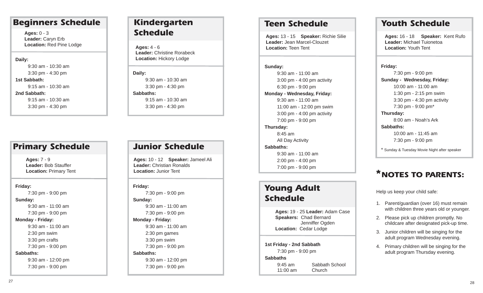# **Beginners Schedule**

**Ages:** 0 - 3 **Leader:** Caryn Erb **Location:** Red Pine Lodge

### **Daily:**

9:30 am - 10:30 am 3:30 pm - 4:30 pm **1st Sabbath:**9:15 am - 10:30 am**2nd Sabbath:** 9:15 am - 10:30 am 3:30 pm - 4:30 pm

# **Primary Schedule**

**Ages:** 7 - 9 **Leader:** Bob Stauffer **Location:** Primary Tent

### **Friday:**

7:30 pm - 9:00 pm

### **Sunday:**

9:30 am - 11:00 am7:30 pm - 9:00 pm

### **Monday - Friday:**

9:30 am - 11:00 am 2:30 pm swim 3:30 pm crafts 7:30 pm - 9:00 pm

### **Sabbaths:**

9:30 am - 12:00 pm 7:30 pm - 9:00 pm

# **Kindergarten Schedule**

**Ages:** 4 - 6 **Leader:** Christine Rorabeck**Location:** Hickory Lodge

**Daily:**  9:30 am - 10:30 am 3:30 pm - 4:30 pm **Sabbaths:**9:15 am - 10:30 am3:30 pm - 4:30 pm

# **Junior Schedule**

**Ages:** 10 - 12 **Speaker:** Jameel Ali **Leader:** Christian Ronalds**Location:** Junior Tent

### **Friday:**

7:30 pm - 9:00 pm

**Sunday:**  9:30 am - 11:00 am 7:30 pm - 9:00 pm **Monday - Friday:** 9:30 am - 11:00 am 2:30 pm games 3:30 pm swim 7:30 pm - 9:00 pm **Sabbaths:** 9:30 am - 12:00 pm 7:30 pm - 9:00 pm

# **Teen Schedule**

**Ages:** 13 - 15 **Speaker:** Richie Silie **Leader:** Jean Marcel-Clouzet**Location:** Teen Tent

**Sunday:**  9:30 am - 11:00 am 3:00 pm - 4:00 pm activity 6:30 pm - 9:00 pm **Monday - Wednesday, Friday:** 9:30 am - 11:00 am 11:00 am - 12:00 pm swim 3:00 pm - 4:00 pm activity 7:00 pm - 9:00 pm **Thursday:** 8:45 am All Day Activity **Sabbaths:**9:30 am - 11:00 am2:00 pm - 4:00 pm

# **Young Adult Schedule**

7:00 pm - 9:00 pm

**Ages:** 19 - 25 **Leader:** Adam Case **Speakers:** Chad Bernard Jenniffer Ogden **Location:** Cedar Lodge

**1st Friday - 2nd Sabbath** 7:30 pm - 9:00 pm **Sabbaths**9:45 am Sabbath School11:00 am Church

# **Youth Schedule**

**Ages:** 16 - 18 **Speaker:** Kent Rufo **Leader:** Michael Tuionetoa**Location:** Youth Tent

**Friday:**  7:30 pm - 9:00 pm **Sunday - Wednesday, Friday:** 10:00 am - 11:00 am 1:30 pm - 2:15 pm swim 3:30 pm - 4:30 pm activity 7:30 pm - 9:00 pm\* **Thursday:** 8:00 am - Noah's Ark**Sabbaths:**10:00 am - 11:45 am7:30 pm - 9:00 pm

\* Sunday & Tuesday Movie Night after speaker

# **NOTES TO PARENTS:\***

Help us keep your child safe:

- 1. Parent/guardian (over 16) must remain with children three years old or younger.
- 2. Please pick up children promptly. No childcare after designated pick-up time.
- 3. Junior children will be singing for the adult program Wednesday evening.
- 4. Primary children will be singing for the adult program Thursday evening.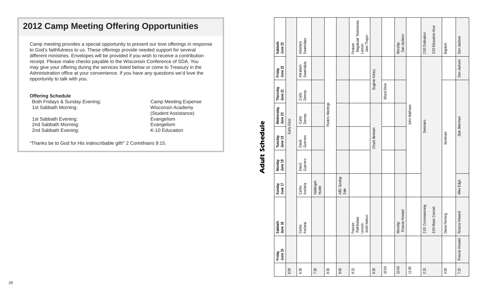# **2012 Camp Meeting Offering Opportunities**

Camp meeting provides a special opportunity to present our love offerings in response to God's faithfulness to us. These offerings provide needed support for several different ministries. Envelopes will be provided if you wish to receive a contribution receipt. Please make checks payable to the Wisconsin Conference of SDA. You may give your offering during the services listed below or come to Treasury in the Administration office at your convenience. If you have any questions we'd love the opportunity to talk with you.

### **Offering Schedule**

Both Fridays & Sunday Evening: Camp Meeting Expense 1st Sabbath Morning:

1st Sabbath Evening:<br>
2nd Sabbath Morning:<br>
2nd Sabbath Morning:<br>
Evangelism 2nd Sabbath Morning: 2nd Sabbath Evening: K-10 Education

(Student Assistance)

"Thanks be to God for His indescribable gift!" 2 Corinthians 9:15.

| Sabbath<br>June 23   |                                                                                                                      | Swamidass<br>Abraham |                      |      |                    | Magabook Testimonies<br>Jane Thayer<br>Feature:<br>Lesson: |               |                    | Dan Jackson<br>Worship:   |          | 2:00 Ordination    | 3:00 Education Hour | Baptism       | Dan Jackson   |
|----------------------|----------------------------------------------------------------------------------------------------------------------|----------------------|----------------------|------|--------------------|------------------------------------------------------------|---------------|--------------------|---------------------------|----------|--------------------|---------------------|---------------|---------------|
| June 22<br>Friday    | Abraham<br>Swamidass<br>Curtis<br>Denney<br>Curtis<br>Denney<br>Early Glow<br>Guerrero<br>David<br>Guerrero<br>David |                      |                      |      |                    |                                                            | Eugene Kitney |                    |                           |          |                    |                     |               | Dan Jackson   |
| Thursday<br>June 21  |                                                                                                                      |                      |                      |      |                    |                                                            |               | <b>Blood Drive</b> |                           |          |                    |                     |               |               |
| Wednesday<br>June 20 |                                                                                                                      |                      | Pastors Meetings     |      |                    |                                                            |               |                    | John Mathews              | Seminars |                    |                     | Stan Beerman  |               |
| Tuesday<br>June 19   |                                                                                                                      |                      |                      |      |                    |                                                            | Chuck Berkeen |                    |                           |          |                    |                     | Seminars      |               |
| June 18<br>Monday    |                                                                                                                      |                      |                      |      |                    |                                                            |               |                    |                           |          |                    |                     |               |               |
| June 17<br>Sunday    |                                                                                                                      | Ancheta<br>Carlos    | Hallelujah<br>Hustle |      | ABC Sunday<br>Sale |                                                            |               |                    |                           |          |                    |                     | Mike Edge     |               |
| Sabbath<br>June 16   |                                                                                                                      | Carlos<br>Ancheta    |                      |      |                    | Feature:<br>Pathfinders<br>Lesson:<br>Keith Nelson         |               |                    | Worship:<br>Roscoe Howard |          | 2:00 Commissioning | 3:00 Music Concert  | Diana Fleming | Roscoe Howard |
| Friday<br>June 15    |                                                                                                                      |                      |                      |      |                    |                                                            |               |                    |                           |          |                    |                     |               | Roscoe Howard |
|                      | 6:00                                                                                                                 | 6:30                 | 7:30                 | 8:30 | 9:00               | 9:15                                                       | 9:30          | 10:00              | 10:40                     | 11:00    | 2:15               |                     | 4:00          | 7:15          |

# **Adult Schedule Adult Schedule**